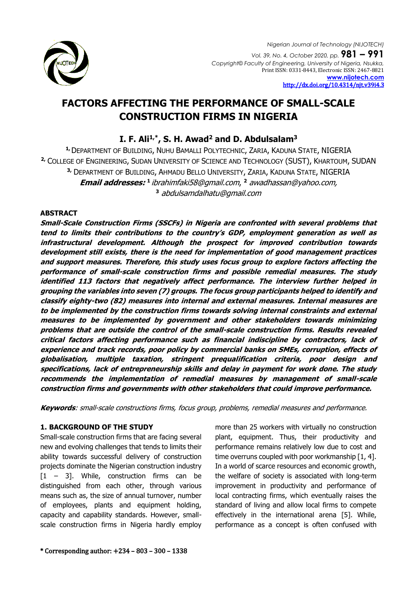

*Nigerian Journal of Technology (NIJOTECH) Vol. 39, No. 4, October 2020, pp.* **981 – 991** *Copyright© Faculty of Engineering, University of Nigeria, Nsukka,*  Print ISSN: 0331-8443, Electronic ISSN: 2467-8821 **[www.nijotech.com](http://www.nijotech.com/)** [http://dx.doi.org/10.4314/njt.v39i4.3](http://dx.doi.org/10.4314/njt.v39i4.1)

# **FACTORS AFFECTING THE PERFORMANCE OF SMALL-SCALE CONSTRUCTION FIRMS IN NIGERIA**

## **I. F. Ali1,\* , S. H. Awad<sup>2</sup> and D. Abdulsalam<sup>3</sup>**

**1,**DEPARTMENT OF BUILDING, NUHU BAMALLI POLYTECHNIC, ZARIA, KADUNA STATE, NIGERIA **2,** COLLEGE OF ENGINEERING, SUDAN UNIVERSITY OF SCIENCE AND TECHNOLOGY (SUST), KHARTOUM, SUDAN **3,** DEPARTMENT OF BUILDING, AHMADU BELLO UNIVERSITY, ZARIA, KADUNA STATE, NIGERIA **Email addresses: 1** [ibrahimfaki58@gmail.com](mailto:ibrahimfaki58@gmail.com), **<sup>2</sup>** awadhassan@yahoo.com, **<sup>3</sup>** abdulsamdalhatu@gmail.com

### **ABSTRACT**

**Small-Scale Construction Firms (SSCFs) in Nigeria are confronted with several problems that tend to limits their contributions to the country's GDP, employment generation as well as infrastructural development. Although the prospect for improved contribution towards development still exists, there is the need for implementation of good management practices and support measures. Therefore, this study uses focus group to explore factors affecting the performance of small-scale construction firms and possible remedial measures. The study identified 113 factors that negatively affect performance. The interview further helped in grouping the variables into seven (7) groups. The focus group participants helped to identify and classify eighty-two (82) measures into internal and external measures. Internal measures are to be implemented by the construction firms towards solving internal constraints and external measures to be implemented by government and other stakeholders towards minimizing problems that are outside the control of the small-scale construction firms. Results revealed critical factors affecting performance such as financial indiscipline by contractors, lack of experience and track records, poor policy by commercial banks on SMEs, corruption, effects of globalisation, multiple taxation, stringent prequalification criteria, poor design and specifications, lack of entrepreneurship skills and delay in payment for work done. The study recommends the implementation of remedial measures by management of small-scale construction firms and governments with other stakeholders that could improve performance.** 

**Keywords**: small-scale constructions firms, focus group, problems, remedial measures and performance.

#### **1. BACKGROUND OF THE STUDY**

Small-scale construction firms that are facing several new and evolving challenges that tends to limits their ability towards successful delivery of construction projects dominate the Nigerian construction industry  $[1 - 3]$ . While, construction firms can be distinguished from each other, through various means such as, the size of annual turnover, number of employees, plants and equipment holding, capacity and capability standards. However, smallscale construction firms in Nigeria hardly employ more than 25 workers with virtually no construction plant, equipment. Thus, their productivity and performance remains relatively low due to cost and time overruns coupled with poor workmanship [1, 4]. In a world of scarce resources and economic growth, the welfare of society is associated with long-term improvement in productivity and performance of local contracting firms, which eventually raises the standard of living and allow local firms to compete effectively in the international arena [5]. While, performance as a concept is often confused with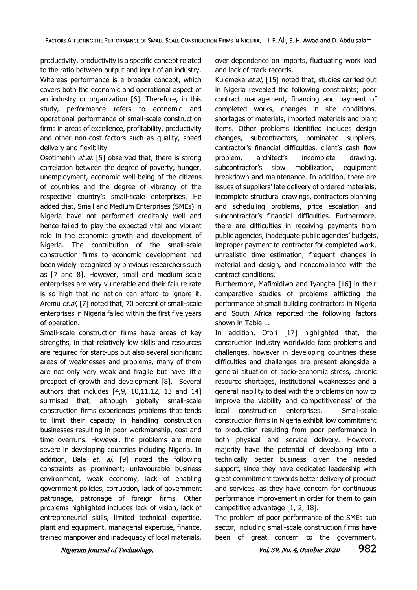productivity, productivity is a specific concept related to the ratio between output and input of an industry. Whereas performance is a broader concept, which covers both the economic and operational aspect of an industry or organization [6]. Therefore, in this study, performance refers to economic and operational performance of small-scale construction firms in areas of excellence, profitability, productivity and other non-cost factors such as quality, speed delivery and flexibility.

Osotimehin et.al, [5] observed that, there is strong correlation between the degree of poverty, hunger, unemployment, economic well-being of the citizens of countries and the degree of vibrancy of the respective country's small-scale enterprises. He added that, Small and Medium Enterprises (SMEs) in Nigeria have not performed creditably well and hence failed to play the expected vital and vibrant role in the economic growth and development of Nigeria. The contribution of the small-scale construction firms to economic development had been widely recognized by previous researchers such as [7 and 8]. However, small and medium scale enterprises are very vulnerable and their failure rate is so high that no nation can afford to ignore it. Aremu et.al, [7] noted that, 70 percent of small-scale enterprises in Nigeria failed within the first five years of operation.

Small-scale construction firms have areas of key strengths, in that relatively low skills and resources are required for start-ups but also several significant areas of weaknesses and problems, many of them are not only very weak and fragile but have little prospect of growth and development [8]. Several authors that includes  $[4,9, 10,11,12, 13$  and  $14]$ surmised that, although globally small-scale construction firms experiences problems that tends to limit their capacity in handling construction businesses resulting in poor workmanship, cost and time overruns. However, the problems are more severe in developing countries including Nigeria. In addition, Bala et. al, [9] noted the following constraints as prominent; unfavourable business environment, weak economy, lack of enabling government policies, corruption, lack of government patronage, patronage of foreign firms. Other problems highlighted includes lack of vision, lack of entrepreneurial skills, limited technical expertise, plant and equipment, managerial expertise, finance, trained manpower and inadequacy of local materials,

over dependence on imports, fluctuating work load and lack of track records.

Kulemeka et.al, [15] noted that, studies carried out in Nigeria revealed the following constraints; poor contract management, financing and payment of completed works, changes in site conditions, shortages of materials, imported materials and plant items. Other problems identified includes design changes, subcontractors, nominated suppliers, contractor's financial difficulties, client's cash flow problem, architect's incomplete drawing, subcontractor's slow mobilization, equipment breakdown and maintenance. In addition, there are issues of suppliers' late delivery of ordered materials, incomplete structural drawings, contractors planning and scheduling problems, price escalation and subcontractor's financial difficulties. Furthermore, there are difficulties in receiving payments from public agencies, inadequate public agencies' budgets, improper payment to contractor for completed work, unrealistic time estimation, frequent changes in material and design, and noncompliance with the contract conditions.

Furthermore, Mafimidiwo and Iyangba [16] in their comparative studies of problems afflicting the performance of small building contractors in Nigeria and South Africa reported the following factors shown in Table 1.

In addition, Ofori [17] highlighted that, the construction industry worldwide face problems and challenges, however in developing countries these difficulties and challenges are present alongside a general situation of socio-economic stress, chronic resource shortages, institutional weaknesses and a general inability to deal with the problems on how to improve the viability and competitiveness' of the local construction enterprises. Small-scale construction firms in Nigeria exhibit low commitment to production resulting from poor performance in both physical and service delivery. However, majority have the potential of developing into a technically better business given the needed support, since they have dedicated leadership with great commitment towards better delivery of product and services, as they have concern for continuous performance improvement in order for them to gain competitive advantage [1, 2, 18].

The problem of poor performance of the SMEs sub sector, including small-scale construction firms have been of great concern to the government,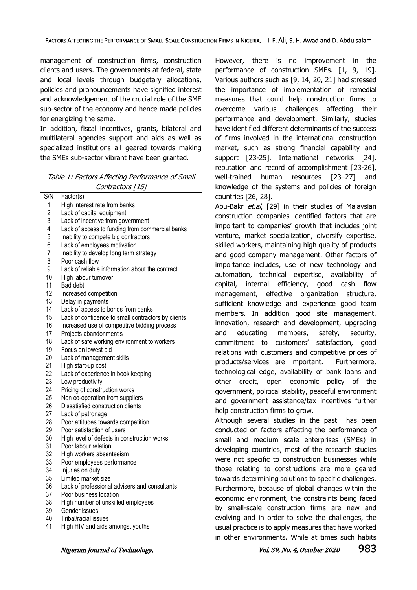management of construction firms, construction clients and users. The governments at federal, state and local levels through budgetary allocations, policies and pronouncements have signified interest and acknowledgement of the crucial role of the SME sub-sector of the economy and hence made policies for energizing the same.

In addition, fiscal incentives, grants, bilateral and multilateral agencies support and aids as well as specialized institutions all geared towards making the SMEs sub-sector vibrant have been granted.

| Table 1: Factors Affecting Performance of Small |
|-------------------------------------------------|
| Contractors [15]                                |

| S/N            | Factor(s)                                          |
|----------------|----------------------------------------------------|
| 1              | High interest rate from banks                      |
| $\overline{c}$ | Lack of capital equipment                          |
| 3              | Lack of incentive from government                  |
| 4              | Lack of access to funding from commercial banks    |
| 5              | Inability to compete big contractors               |
| 6              | Lack of employees motivation                       |
| $\overline{7}$ | Inability to develop long term strategy            |
| 8              | Poor cash flow                                     |
| 9              | Lack of reliable information about the contract    |
| 10             | High labour turnover                               |
| 11             | <b>Bad debt</b>                                    |
| 12             | Increased competition                              |
| 13             | Delay in payments                                  |
| 14             | Lack of access to bonds from banks                 |
| 15             | Lack of confidence to small contractors by clients |
| 16             | Increased use of competitive bidding process       |
| 17             | Projects abandonment's                             |
| 18             | Lack of safe working environment to workers        |
| 19             | Focus on lowest bid                                |
| 20             | Lack of management skills                          |
| 21             | High start-up cost                                 |
| 22             | Lack of experience in book keeping                 |
| 23             | Low productivity                                   |
| 24             | Pricing of construction works                      |
| 25             | Non co-operation from suppliers                    |
| 26             | Dissatisfied construction clients                  |
| 27             | Lack of patronage                                  |
| 28             | Poor attitudes towards competition                 |
| 29             | Poor satisfaction of users                         |
| 30             | High level of defects in construction works        |
| 31             | Poor labour relation                               |
| 32             | High workers absenteeism                           |
| 33             | Poor employees performance                         |
| 34             | Injuries on duty                                   |
| 35             | Limited market size                                |
| 36             | Lack of professional advisers and consultants      |
| 37             | Poor business location                             |
| 38             | High number of unskilled employees                 |
| 39             | Gender issues                                      |
| 40             | Tribal/racial issues                               |
| 41             | High HIV and aids amongst youths                   |

However, there is no improvement in the performance of construction SMEs. [1, 9, 19]. Various authors such as [9, 14, 20, 21] had stressed the importance of implementation of remedial measures that could help construction firms to overcome various challenges affecting their performance and development. Similarly, studies have identified different determinants of the success of firms involved in the international construction market, such as strong financial capability and support [23-25]. International networks [24], reputation and record of accomplishment [23-26], well-trained human resources [23–27] and knowledge of the systems and policies of foreign countries [26, 28].

Abu-Bakr *et.al*, [29] in their studies of Malaysian construction companies identified factors that are important to companies' growth that includes joint venture, market specialization, diversify expertise, skilled workers, maintaining high quality of products and good company management. Other factors of importance includes, use of new technology and automation, technical expertise, availability of capital, internal efficiency, good cash flow management, effective organization structure, sufficient knowledge and experience good team members. In addition good site management, innovation, research and development, upgrading and educating members, safety, security, commitment to customers' satisfaction, good relations with customers and competitive prices of products/services are important. Furthermore, technological edge, availability of bank loans and other credit, open economic policy of the government, political stability, peaceful environment and government assistance/tax incentives further help construction firms to grow.

Although several studies in the past has been conducted on factors affecting the performance of small and medium scale enterprises (SMEs) in developing countries, most of the research studies were not specific to construction businesses while those relating to constructions are more geared towards determining solutions to specific challenges. Furthermore, because of global changes within the economic environment, the constraints being faced by small-scale construction firms are new and evolving and in order to solve the challenges, the usual practice is to apply measures that have worked in other environments. While at times such habits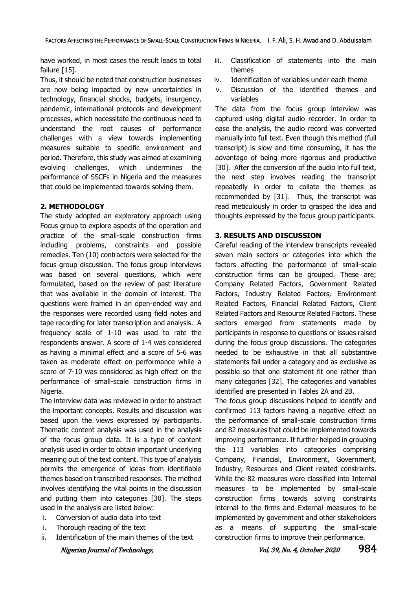have worked, in most cases the result leads to total failure [15].

Thus, it should be noted that construction businesses are now being impacted by new uncertainties in technology, financial shocks, budgets, insurgency, pandemic, international protocols and development processes, which necessitate the continuous need to understand the root causes of performance challenges with a view towards implementing measures suitable to specific environment and period. Therefore, this study was aimed at examining evolving challenges, which undermines the performance of SSCFs in Nigeria and the measures that could be implemented towards solving them.

#### **2. METHODOLOGY**

The study adopted an exploratory approach using Focus group to explore aspects of the operation and practice of the small-scale construction firms including problems, constraints and possible remedies. Ten (10) contractors were selected for the focus group discussion. The focus group interviews was based on several questions, which were formulated, based on the review of past literature that was available in the domain of interest. The questions were framed in an open-ended way and the responses were recorded using field notes and tape recording for later transcription and analysis. A frequency scale of 1-10 was used to rate the respondents answer. A score of 1-4 was considered as having a minimal effect and a score of 5-6 was taken as moderate effect on performance while a score of 7-10 was considered as high effect on the performance of small-scale construction firms in Nigeria.

The interview data was reviewed in order to abstract the important concepts. Results and discussion was based upon the views expressed by participants. Thematic content analysis was used in the analysis of the focus group data. It is a type of content analysis used in order to obtain important underlying meaning out of the text content. This type of analysis permits the emergence of ideas from identifiable themes based on transcribed responses. The method involves identifying the vital points in the discussion and putting them into categories [30]. The steps used in the analysis are listed below:

- i. Conversion of audio data into text
- i. Thorough reading of the text
- ii. Identification of the main themes of the text
- iii. Classification of statements into the main themes
- iv. Identification of variables under each theme
- v. Discussion of the identified themes and variables

The data from the focus group interview was captured using digital audio recorder. In order to ease the analysis, the audio record was converted manually into full text. Even though this method (full transcript) is slow and time consuming, it has the advantage of being more rigorous and productive [30]. After the conversion of the audio into full text, the next step involves reading the transcript repeatedly in order to collate the themes as recommended by [31]. Thus, the transcript was read meticulously in order to grasped the idea and thoughts expressed by the focus group participants.

#### **3. RESULTS AND DISCUSSION**

Careful reading of the interview transcripts revealed seven main sectors or categories into which the factors affecting the performance of small-scale construction firms can be grouped. These are; Company Related Factors, Government Related Factors, Industry Related Factors, Environment Related Factors, Financial Related Factors, Client Related Factors and Resource Related Factors. These sectors emerged from statements made by participants in response to questions or issues raised during the focus group discussions. The categories needed to be exhaustive in that all substantive statements fall under a category and as exclusive as possible so that one statement fit one rather than many categories [32]. The categories and variables identified are presented in Tables 2A and 2B.

The focus group discussions helped to identify and confirmed 113 factors having a negative effect on the performance of small-scale construction firms and 82 measures that could be implemented towards improving performance. It further helped in grouping the 113 variables into categories comprising Company, Financial, Environment, Government, Industry, Resources and Client related constraints. While the 82 measures were classified into Internal measures to be implemented by small-scale construction firms towards solving constraints internal to the firms and External measures to be implemented by government and other stakeholders as a means of supporting the small-scale construction firms to improve their performance.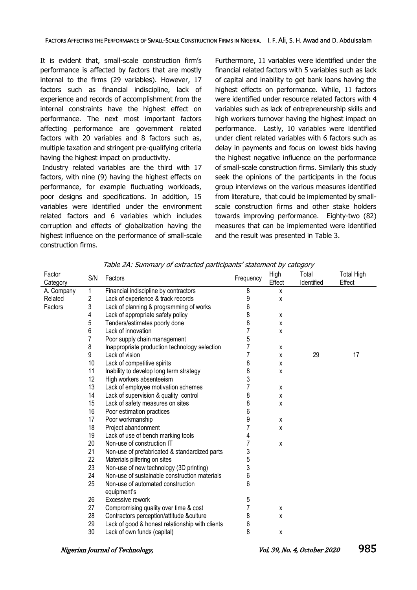It is evident that, small-scale construction firm's performance is affected by factors that are mostly internal to the firms (29 variables). However, 17 factors such as financial indiscipline, lack of experience and records of accomplishment from the internal constraints have the highest effect on performance. The next most important factors affecting performance are government related factors with 20 variables and 8 factors such as, multiple taxation and stringent pre-qualifying criteria having the highest impact on productivity.

Industry related variables are the third with 17 factors, with nine (9) having the highest effects on performance, for example fluctuating workloads, poor designs and specifications. In addition, 15 variables were identified under the environment related factors and 6 variables which includes corruption and effects of globalization having the highest influence on the performance of small-scale construction firms.

Furthermore, 11 variables were identified under the financial related factors with 5 variables such as lack of capital and inability to get bank loans having the highest effects on performance. While, 11 factors were identified under resource related factors with 4 variables such as lack of entrepreneurship skills and high workers turnover having the highest impact on performance. Lastly, 10 variables were identified under client related variables with 6 factors such as delay in payments and focus on lowest bids having the highest negative influence on the performance of small-scale construction firms. Similarly this study seek the opinions of the participants in the focus group interviews on the various measures identified from literature, that could be implemented by smallscale construction firms and other stake holders towards improving performance. Eighty-two (82) measures that can be implemented were identified and the result was presented in Table 3.

| Factor<br>Category | S/N | Factors                                          | Frequency | High<br>Effect | Total<br>Identified | <b>Total High</b><br>Effect |
|--------------------|-----|--------------------------------------------------|-----------|----------------|---------------------|-----------------------------|
| A. Company         | 1   | Financial indiscipline by contractors            | 8         | X              |                     |                             |
| Related            | 2   | Lack of experience & track records               | 9         | X              |                     |                             |
| Factors            | 3   | Lack of planning & programming of works          | 6         |                |                     |                             |
|                    | 4   | Lack of appropriate safety policy                | 8         | X              |                     |                             |
|                    | 5   | Tenders/estimates poorly done                    | 8         | X              |                     |                             |
|                    | 6   | Lack of innovation                               |           | X              |                     |                             |
|                    | 7   | Poor supply chain management                     | 5         |                |                     |                             |
|                    | 8   | Inappropriate production technology selection    |           | X              |                     |                             |
|                    | 9   | Lack of vision                                   |           | X              | 29                  | 17                          |
|                    | 10  | Lack of competitive spirits                      | 8         | X              |                     |                             |
|                    | 11  | Inability to develop long term strategy          | 8         | x              |                     |                             |
|                    | 12  | High workers absenteeism                         | 3         |                |                     |                             |
|                    | 13  | Lack of employee motivation schemes              |           | X              |                     |                             |
|                    | 14  | Lack of supervision & quality control            | 8         | X              |                     |                             |
|                    | 15  | Lack of safety measures on sites                 | 8         | x              |                     |                             |
|                    | 16  | Poor estimation practices                        | 6         |                |                     |                             |
|                    | 17  | Poor workmanship                                 | 9         | X              |                     |                             |
|                    | 18  | Project abandonment                              |           | X              |                     |                             |
|                    | 19  | Lack of use of bench marking tools               | 4         |                |                     |                             |
|                    | 20  | Non-use of construction IT                       |           | χ              |                     |                             |
|                    | 21  | Non-use of prefabricated & standardized parts    | 3         |                |                     |                             |
|                    | 22  | Materials pilfering on sites                     | 5         |                |                     |                             |
|                    | 23  | Non-use of new technology (3D printing)          | 3         |                |                     |                             |
|                    | 24  | Non-use of sustainable construction materials    | 6         |                |                     |                             |
|                    | 25  | Non-use of automated construction<br>equipment's | 6         |                |                     |                             |
|                    | 26  | Excessive rework                                 | 5         |                |                     |                             |
|                    | 27  | Compromising quality over time & cost            |           | X              |                     |                             |
|                    | 28  | Contractors perception/attitude &culture         | 8         | x              |                     |                             |
|                    | 29  | Lack of good & honest relationship with clients  | 6         |                |                     |                             |
|                    | 30  | Lack of own funds (capital)                      | 8         | X              |                     |                             |

Table 2A: Summary of extracted participants' statement by category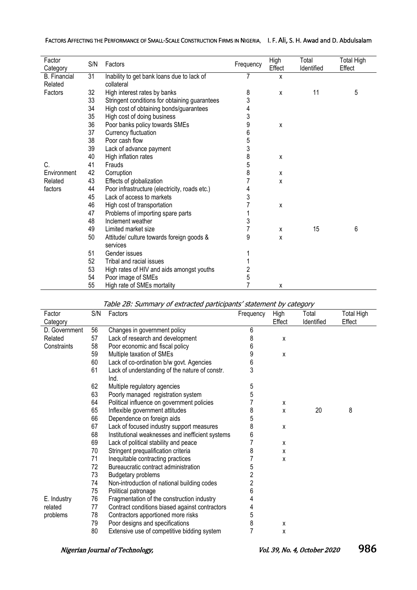### FACTORS AFFECTING THE PERFORMANCE OF SMALL-SCALE CONSTRUCTION FIRMS IN NIGERIA, I. F. Ali, S. H. Awad and D. Abdulsalam

| Factor<br>Category  | S/N | Factors                                       | Frequency | High<br>Effect | Total<br>Identified | <b>Total High</b><br>Effect |
|---------------------|-----|-----------------------------------------------|-----------|----------------|---------------------|-----------------------------|
| <b>B.</b> Financial | 31  | Inability to get bank loans due to lack of    |           | X              |                     |                             |
| Related             |     | collateral                                    |           |                |                     |                             |
| Factors             | 32  | High interest rates by banks                  | 8         | X              | 11                  | 5                           |
|                     | 33  | Stringent conditions for obtaining guarantees | 3         |                |                     |                             |
|                     | 34  | High cost of obtaining bonds/guarantees       | 4         |                |                     |                             |
|                     | 35  | High cost of doing business                   | 3         |                |                     |                             |
|                     | 36  | Poor banks policy towards SMEs                | 9         | X              |                     |                             |
|                     | 37  | Currency fluctuation                          | 6         |                |                     |                             |
|                     | 38  | Poor cash flow                                | 5         |                |                     |                             |
|                     | 39  | Lack of advance payment                       | 3         |                |                     |                             |
|                     | 40  | High inflation rates                          | 8         | X              |                     |                             |
| C.                  | 41  | Frauds                                        | 5         |                |                     |                             |
| Environment         | 42  | Corruption                                    | 8         | X              |                     |                             |
| Related             | 43  | Effects of globalization                      |           | X              |                     |                             |
| factors             | 44  | Poor infrastructure (electricity, roads etc.) | 4         |                |                     |                             |
|                     | 45  | Lack of access to markets                     | 3         |                |                     |                             |
|                     | 46  | High cost of transportation                   |           | X              |                     |                             |
|                     | 47  | Problems of importing spare parts             |           |                |                     |                             |
|                     | 48  | Inclement weather                             | 3         |                |                     |                             |
|                     | 49  | Limited market size                           | 7         | X              | 15                  | 6                           |
|                     | 50  | Attitude/ culture towards foreign goods &     | 9         | X              |                     |                             |
|                     |     | services                                      |           |                |                     |                             |
|                     | 51  | Gender issues                                 |           |                |                     |                             |
|                     | 52  | Tribal and racial issues                      |           |                |                     |                             |
|                     | 53  | High rates of HIV and aids amongst youths     | 2         |                |                     |                             |
|                     | 54  | Poor image of SMEs                            | 5         |                |                     |                             |
|                     | 55  | High rate of SMEs mortality                   | 7         | X              |                     |                             |

| Factor        | S/N | Factors                                          | Frequency | High   | Total      | <b>Total High</b> |
|---------------|-----|--------------------------------------------------|-----------|--------|------------|-------------------|
| Category      |     |                                                  |           | Effect | Identified | Effect            |
| D. Government | 56  | Changes in government policy                     | 6         |        |            |                   |
| Related       | 57  | Lack of research and development                 | 8         | X      |            |                   |
| Constraints   | 58  | Poor economic and fiscal policy                  | 6         |        |            |                   |
|               | 59  | Multiple taxation of SMEs                        | 9         | X      |            |                   |
|               | 60  | Lack of co-ordination b/w govt. Agencies         | 6         |        |            |                   |
|               | 61  | Lack of understanding of the nature of constr.   | 3         |        |            |                   |
|               |     | Ind.                                             |           |        |            |                   |
|               | 62  | Multiple regulatory agencies                     | 5         |        |            |                   |
|               | 63  | Poorly managed registration system               | 5         |        |            |                   |
|               | 64  | Political influence on government policies       |           | х      |            |                   |
|               | 65  | Inflexible government attitudes                  | 8         | X      | 20         | 8                 |
|               | 66  | Dependence on foreign aids                       | 5         |        |            |                   |
|               | 67  | Lack of focused industry support measures        | 8         | x      |            |                   |
|               | 68  | Institutional weaknesses and inefficient systems | 6         |        |            |                   |
|               | 69  | Lack of political stability and peace            |           | х      |            |                   |
|               | 70  | Stringent prequalification criteria              | 8         | x      |            |                   |
|               | 71  | Inequitable contracting practices                |           | X      |            |                   |
|               | 72  | Bureaucratic contract administration             | 5         |        |            |                   |
|               | 73  | <b>Budgetary problems</b>                        | 2         |        |            |                   |
|               | 74  | Non-introduction of national building codes      | 2         |        |            |                   |
|               | 75  | Political patronage                              | 6         |        |            |                   |
| E. Industry   | 76  | Fragmentation of the construction industry       |           |        |            |                   |
| related       | 77  | Contract conditions biased against contractors   | 4         |        |            |                   |
| problems      | 78  | Contractors apportioned more risks               | 5         |        |            |                   |
|               | 79  | Poor designs and specifications                  | 8         | X      |            |                   |
|               | 80  | Extensive use of competitive bidding system      |           | x      |            |                   |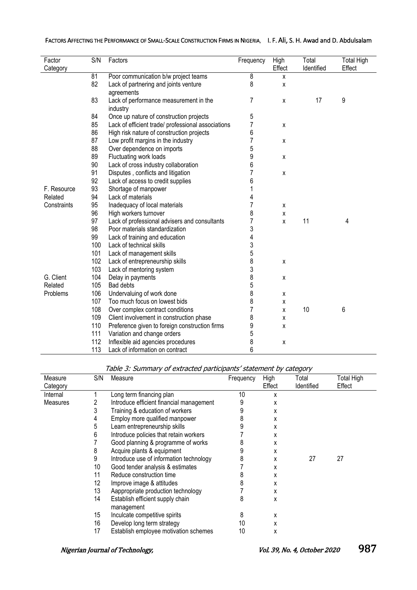| FACTORS AFFECTING THE PERFORMANCE OF SMALL-SCALE CONSTRUCTION FIRMS IN NIGERIA, I. F. AII, S. H. Awad and D. Abdulsalam |  |
|-------------------------------------------------------------------------------------------------------------------------|--|
|-------------------------------------------------------------------------------------------------------------------------|--|

| Factor      | S/N | Factors                                            | Frequency      | High   | Total      | <b>Total High</b> |
|-------------|-----|----------------------------------------------------|----------------|--------|------------|-------------------|
| Category    |     |                                                    |                | Effect | Identified | Effect            |
|             | 81  | Poor communication b/w project teams               | 8              | X      |            |                   |
|             | 82  | Lack of partnering and joints venture              | 8              | X      |            |                   |
|             |     | agreements                                         |                |        |            |                   |
|             | 83  | Lack of performance measurement in the<br>industry | 7              | X      | 17         | 9                 |
|             | 84  | Once up nature of construction projects            | 5              |        |            |                   |
|             | 85  | Lack of efficient trade/ professional associations | $\overline{7}$ | X      |            |                   |
|             | 86  | High risk nature of construction projects          | 6              |        |            |                   |
|             | 87  | Low profit margins in the industry                 | 7              | X      |            |                   |
|             | 88  | Over dependence on imports                         | 5              |        |            |                   |
|             | 89  | Fluctuating work loads                             | 9              | X      |            |                   |
|             | 90  | Lack of cross industry collaboration               | 6              |        |            |                   |
|             | 91  | Disputes, conflicts and litigation                 | 7              | X      |            |                   |
|             | 92  | Lack of access to credit supplies                  | 6              |        |            |                   |
| F. Resource | 93  | Shortage of manpower                               |                |        |            |                   |
| Related     | 94  | Lack of materials                                  | 4              |        |            |                   |
| Constraints | 95  | Inadequacy of local materials                      | 7              | X      |            |                   |
|             | 96  | High workers turnover                              | 8              | X      |            |                   |
|             | 97  | Lack of professional advisers and consultants      | 7              | X      | 11         | 4                 |
|             | 98  | Poor materials standardization                     | 3              |        |            |                   |
|             | 99  | Lack of training and education                     | 4              |        |            |                   |
|             | 100 | Lack of technical skills                           | 3              |        |            |                   |
|             | 101 | Lack of management skills                          | 5              |        |            |                   |
|             | 102 | Lack of entrepreneurship skills                    | 8              | Χ      |            |                   |
|             | 103 | Lack of mentoring system                           | 3              |        |            |                   |
| G. Client   | 104 | Delay in payments                                  | 8              | X      |            |                   |
| Related     | 105 | Bad debts                                          | 5              |        |            |                   |
| Problems    | 106 | Undervaluing of work done                          | 8              | X      |            |                   |
|             | 107 | Too much focus on lowest bids                      | 8              | X      |            |                   |
|             | 108 | Over complex contract conditions                   |                | X      | 10         | 6                 |
|             | 109 | Client involvement in construction phase           | 8              | X      |            |                   |
|             | 110 | Preference given to foreign construction firms     | 9              | x      |            |                   |
|             | 111 | Variation and change orders                        | 5              |        |            |                   |
|             | 112 | Inflexible aid agencies procedures                 | 8              | χ      |            |                   |
|             | 113 | Lack of information on contract                    | 6              |        |            |                   |

Table 3: Summary of extracted participants' statement by category

| Measure         | S/N | Measure                                  | Frequency | High   | Total      | <b>Total High</b> |
|-----------------|-----|------------------------------------------|-----------|--------|------------|-------------------|
| Category        |     |                                          |           | Effect | Identified | Effect            |
| Internal        |     | Long term financing plan                 | 10        | χ      |            |                   |
| <b>Measures</b> |     | Introduce efficient financial management |           | x      |            |                   |
|                 |     | Training & education of workers          |           | x      |            |                   |
|                 |     | Employ more qualified manpower           | 8         | X      |            |                   |
|                 | 5   | Learn entrepreneurship skills            |           | x      |            |                   |
|                 | h   | Introduce policies that retain workers   |           | x      |            |                   |
|                 |     | Good planning & programme of works       |           | x      |            |                   |
|                 | 8   | Acquire plants & equipment               |           | X      |            |                   |
|                 | 9   | Introduce use of information technology  |           | x      | 27         | 27                |
|                 | 10  | Good tender analysis & estimates         |           | x      |            |                   |
|                 | 11  | Reduce construction time                 |           | x      |            |                   |
|                 | 12  | Improve image & attitudes                | 8         | x      |            |                   |
|                 | 13  | Aappropriate production technology       |           | x      |            |                   |
|                 | 14  | Establish efficient supply chain         | 8         | X      |            |                   |
|                 |     | management                               |           |        |            |                   |
|                 | 15  | Inculcate competitive spirits            | 8         | x      |            |                   |
|                 | 16  | Develop long term strategy               | 10        | x      |            |                   |
|                 | 17  | Establish employee motivation schemes    | 10        | x      |            |                   |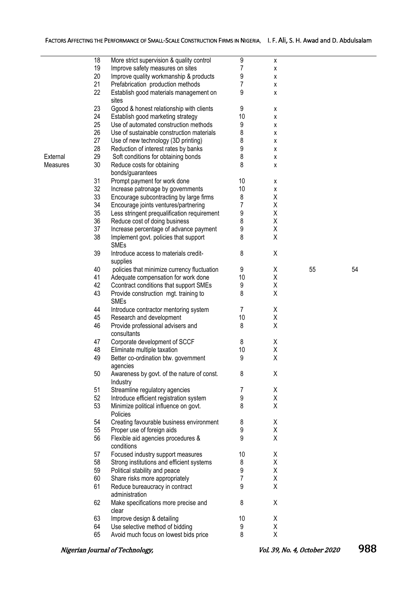|          | 18 | More strict supervision & quality control   | 9  | X |    |    |
|----------|----|---------------------------------------------|----|---|----|----|
|          | 19 | Improve safety measures on sites            | 7  | X |    |    |
|          | 20 | Improve quality workmanship & products      | 9  | X |    |    |
|          | 21 | Prefabrication production methods           | 7  | X |    |    |
|          | 22 | Establish good materials management on      | 9  |   |    |    |
|          |    |                                             |    | X |    |    |
|          |    | sites                                       |    |   |    |    |
|          | 23 | Ggood & honest relationship with clients    | 9  | χ |    |    |
|          | 24 | Establish good marketing strategy           | 10 | X |    |    |
|          | 25 | Use of automated construction methods       | 9  | X |    |    |
|          | 26 | Use of sustainable construction materials   | 8  | X |    |    |
|          | 27 | Use of new technology (3D printing)         | 8  | X |    |    |
|          | 28 | Reduction of interest rates by banks        | 9  | X |    |    |
| External | 29 | Soft conditions for obtaining bonds         | 8  | χ |    |    |
| Measures | 30 | Reduce costs for obtaining                  | 8  |   |    |    |
|          |    |                                             |    | X |    |    |
|          |    | bonds/guarantees                            |    |   |    |    |
|          | 31 | Prompt payment for work done                | 10 | х |    |    |
|          | 32 | Increase patronage by governments           | 10 | X |    |    |
|          | 33 | Encourage subcontracting by large firms     | 8  | Χ |    |    |
|          | 34 | Encourage joints ventures/partnering        | 7  | Χ |    |    |
|          | 35 | Less stringent prequalification requirement | 9  | Χ |    |    |
|          | 36 | Reduce cost of doing business               | 8  | Χ |    |    |
|          | 37 |                                             |    | Χ |    |    |
|          |    | Increase percentage of advance payment      | 9  |   |    |    |
|          | 38 | Implement govt. policies that support       | 8  | Χ |    |    |
|          |    | <b>SMEs</b>                                 |    |   |    |    |
|          | 39 | Introduce access to materials credit-       | 8  | Χ |    |    |
|          |    | supplies                                    |    |   |    |    |
|          | 40 | policies that minimize currency fluctuation | 9  | X | 55 | 54 |
|          | 41 | Adequate compensation for work done         | 10 | Χ |    |    |
|          | 42 | Ccontract conditions that support SMEs      | 9  | Χ |    |    |
|          | 43 | Provide construction mgt. training to       | 8  | Χ |    |    |
|          |    | <b>SMEs</b>                                 |    |   |    |    |
|          | 44 | Introduce contractor mentoring system       | 7  | Χ |    |    |
|          |    |                                             |    |   |    |    |
|          | 45 | Research and development                    | 10 | Χ |    |    |
|          | 46 | Provide professional advisers and           | 8  | Χ |    |    |
|          |    | consultants                                 |    |   |    |    |
|          | 47 | Corporate development of SCCF               | 8  | χ |    |    |
|          | 48 | Eliminate multiple taxation                 | 10 | Χ |    |    |
|          | 49 | Better co-ordination btw. government        | 9  | Χ |    |    |
|          |    | agencies                                    |    |   |    |    |
|          | 50 | Awareness by govt. of the nature of const.  | 8  | χ |    |    |
|          |    | Industry                                    |    |   |    |    |
|          | 51 | Streamline regulatory agencies              | 7  | χ |    |    |
|          | 52 | Introduce efficient registration system     | 9  | Χ |    |    |
|          | 53 | Minimize political influence on govt.       | 8  | Χ |    |    |
|          |    | Policies                                    |    |   |    |    |
|          |    |                                             |    |   |    |    |
|          | 54 | Creating favourable business environment    | 8  | χ |    |    |
|          | 55 | Proper use of foreign aids                  | 9  | Χ |    |    |
|          | 56 | Flexible aid agencies procedures &          | 9  | Χ |    |    |
|          |    | conditions                                  |    |   |    |    |
|          | 57 | Focused industry support measures           | 10 | X |    |    |
|          | 58 | Strong institutions and efficient systems   | 8  | Χ |    |    |
|          | 59 | Political stability and peace               | 9  | Χ |    |    |
|          | 60 | Share risks more appropriately              | 7  | Χ |    |    |
|          |    |                                             |    |   |    |    |
|          | 61 | Reduce bureaucracy in contract              | 9  | Χ |    |    |
|          |    | administration                              |    |   |    |    |
|          | 62 | Make specifications more precise and        | 8  | χ |    |    |
|          |    | clear                                       |    |   |    |    |
|          | 63 | Improve design & detailing                  | 10 | χ |    |    |
|          | 64 | Use selective method of bidding             | 9  | Χ |    |    |
|          | 65 | Avoid much focus on lowest bids price       | 8  | χ |    |    |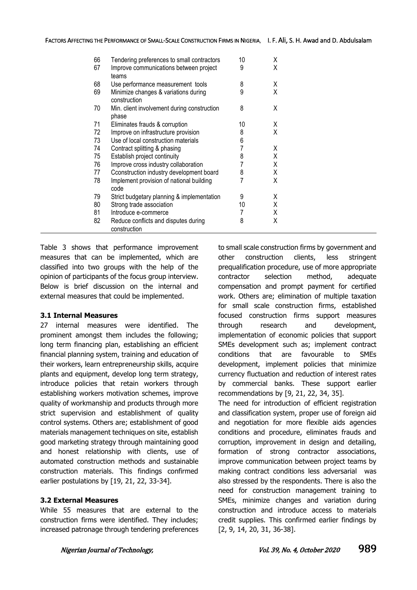| 66<br>67 | Tendering preferences to small contractors<br>Improve communications between project | 10<br>9 | X<br>X |
|----------|--------------------------------------------------------------------------------------|---------|--------|
|          | teams                                                                                |         |        |
| 68       | Use performance measurement tools                                                    | 8       | X      |
| 69       | Minimize changes & variations during<br>construction                                 | 9       | X      |
| 70       | Min. client involvement during construction<br>phase                                 | 8       | X      |
| 71       | Eliminates frauds & corruption                                                       | 10      | X      |
| 72       | Improve on infrastructure provision                                                  | 8       | X      |
| 73       | Use of local construction materials                                                  | 6       |        |
| 74       | Contract splitting & phasing                                                         | 7       | X      |
| 75       | Establish project continuity                                                         | 8       | X      |
| 76       | Improve cross industry collaboration                                                 | 7       | X      |
| 77       | Cconstruction industry development board                                             | 8       | X      |
| 78       | Implement provision of national building<br>code                                     |         | X      |
| 79       | Strict budgetary planning & implementation                                           | 9       | X      |
| 80       | Strong trade association                                                             | 10      | X      |
| 81       | Introduce e-commerce                                                                 | 7       | X      |
| 82       | Reduce conflicts and disputes during<br>construction                                 | 8       | X      |

Table 3 shows that performance improvement measures that can be implemented, which are classified into two groups with the help of the opinion of participants of the focus group interview. Below is brief discussion on the internal and external measures that could be implemented.

#### **3.1 Internal Measures**

27 internal measures were identified. The prominent amongst them includes the following; long term financing plan, establishing an efficient financial planning system, training and education of their workers, learn entrepreneurship skills, acquire plants and equipment, develop long term strategy, introduce policies that retain workers through establishing workers motivation schemes, improve quality of workmanship and products through more strict supervision and establishment of quality control systems. Others are; establishment of good materials management techniques on site, establish good marketing strategy through maintaining good and honest relationship with clients, use of automated construction methods and sustainable construction materials. This findings confirmed earlier postulations by [19, 21, 22, 33-34].

#### **3.2 External Measures**

While 55 measures that are external to the construction firms were identified. They includes; increased patronage through tendering preferences to small scale construction firms by government and other construction clients, less stringent prequalification procedure, use of more appropriate contractor selection method, adequate compensation and prompt payment for certified work. Others are; elimination of multiple taxation for small scale construction firms, established focused construction firms support measures through research and development, implementation of economic policies that support SMEs development such as; implement contract conditions that are favourable to SMEs development, implement policies that minimize currency fluctuation and reduction of interest rates by commercial banks. These support earlier recommendations by [9, 21, 22, 34, 35].

The need for introduction of efficient registration and classification system, proper use of foreign aid and negotiation for more flexible aids agencies conditions and procedure, eliminates frauds and corruption, improvement in design and detailing, formation of strong contractor associations, improve communication between project teams by making contract conditions less adversarial was also stressed by the respondents. There is also the need for construction management training to SMEs, minimize changes and variation during construction and introduce access to materials credit supplies. This confirmed earlier findings by [2, 9, 14, 20, 31, 36-38].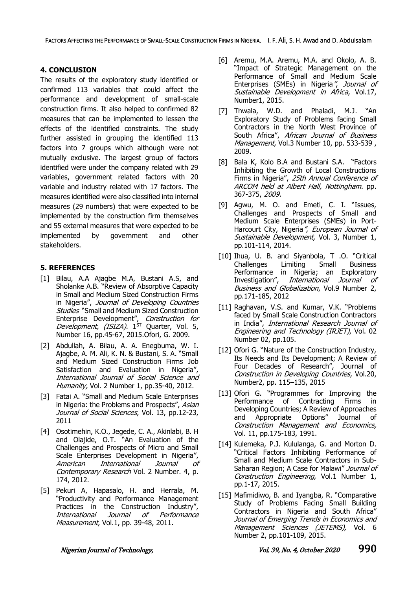### **4. CONCLUSION**

The results of the exploratory study identified or confirmed 113 variables that could affect the performance and development of small-scale construction firms. It also helped to confirmed 82 measures that can be implemented to lessen the effects of the identified constraints. The study further assisted in grouping the identified 113 factors into 7 groups which although were not mutually exclusive. The largest group of factors identified were under the company related with 29 variables, government related factors with 20 variable and industry related with 17 factors. The measures identified were also classified into internal measures (29 numbers) that were expected to be implemented by the construction firm themselves and 55 external measures that were expected to be implemented by government and other stakeholders.

### **5. REFERENCES**

- [1] Bilau, A.A Ajagbe M.A, Bustani A.S, and Sholanke A.B. "Review of Absorptive Capacity in Small and Medium Sized Construction Firms in Nigeria", Journal of Developing Countries **Studies** "Small and Medium Sized Construction Enterprise Development", Construction for Development, (ISIZA). 1<sup>st</sup> Quarter, Vol. 5, Number 16, pp.45-67, 2015.Ofori, G. 2009.
- [2] Abdullah, A. Bilau, A. A. Enegbuma, W. I. Ajagbe, A. M. Ali, K. N. & Bustani, S. A. "Small and Medium Sized Construction Firms Job Satisfaction and Evaluation in Nigeria", International Journal of Social Science and Humanity, Vol. 2 Number 1, pp.35-40, 2012.
- [3] Fatai A. "Small and Medium Scale Enterprises in Nigeria: the Problems and Prospects", Asian Journal of Social Sciences, Vol. 13, pp.12-23, 2011
- [4] Osotimehin, K.O., Jegede, C. A., Akinlabi, B. H and Olajide, O.T. "An Evaluation of the Challenges and Prospects of Micro and Small Scale Enterprises Development in Nigeria", American International Journal of Contemporary Research Vol. 2 Number. 4, p. 174, 2012.
- [5] Pekuri A, Hapasalo, H. and Herrala, M. "Productivity and Performance Management Practices in the Construction Industry", International Journal of Performance Measurement, Vol.1, pp. 39-48, 2011.
- [6] Aremu, M.A. Aremu, M.A. and Okolo, A. B. "Impact of Strategic Management on the Performance of Small and Medium Scale Enterprises (SMEs) in Nigeria", Journal of Sustainable Development in Africa, Vol.17, Number1, 2015.
- [7] Thwala, W.D. and Phaladi, M.J. "An Exploratory Study of Problems facing Small Contractors in the North West Province of South Africa", African Journal of Business Management, Vol.3 Number 10, pp. 533-539, 2009.
- [8] Bala K, Kolo B.A and Bustani S.A. "Factors Inhibiting the Growth of Local Constructions Firms in Nigeria", 25th Annual Conference of ARCOM held at Albert Hall, Nottingham. pp. 367-375, 2009.
- [9] Agwu, M. O. and Emeti, C. I. "Issues, Challenges and Prospects of Small and Medium Scale Enterprises (SMEs) in Port-Harcourt City, Nigeria", European Journal of Sustainable Development, Vol. 3, Number 1, pp.101-114, 2014.
- [10] Ihua, U. B. and Siyanbola, T .O. "Critical Challenges Limiting Small Business Performance in Nigeria; an Exploratory Investigation", International Journal of Business and Globalization, Vol.9 Number 2, pp.171-185, 2012
- [11] Raghavan, V.S. and Kumar, V.K. "Problems faced by Small Scale Construction Contractors in India", International Research Journal of Engineering and Technology (IRJET), Vol. 02 Number 02, pp.105.
- [12] Ofori G. "Nature of the Construction Industry, Its Needs and Its Development; A Review of Four Decades of Research", Journal of Construction in Developing Countries, Vol.20, Number2, pp. 115–135, 2015
- [13] Ofori G. "Programmes for Improving the Performance of Contracting Firms in Developing Countries; A Review of Approaches and Appropriate Options" Journal of Construction Management and Economics, Vol. 11, pp.175-183, 1991.
- [14] Kulemeka, P.J. Kululanga, G. and Morton D. "Critical Factors Inhibiting Performance of Small and Medium Scale Contractors in Sub-Saharan Region; A Case for Malawi" Journal of Construction Engineering, Vol.1 Number 1, pp.1-17, 2015.
- [15] Mafimidiwo, B. and Ivangba, R. "Comparative Study of Problems Facing Small Building Contractors in Nigeria and South Africa" Journal of Emerging Trends in Economics and Management Sciences (JETEMS), Vol. 6 Number 2, pp.101-109, 2015.